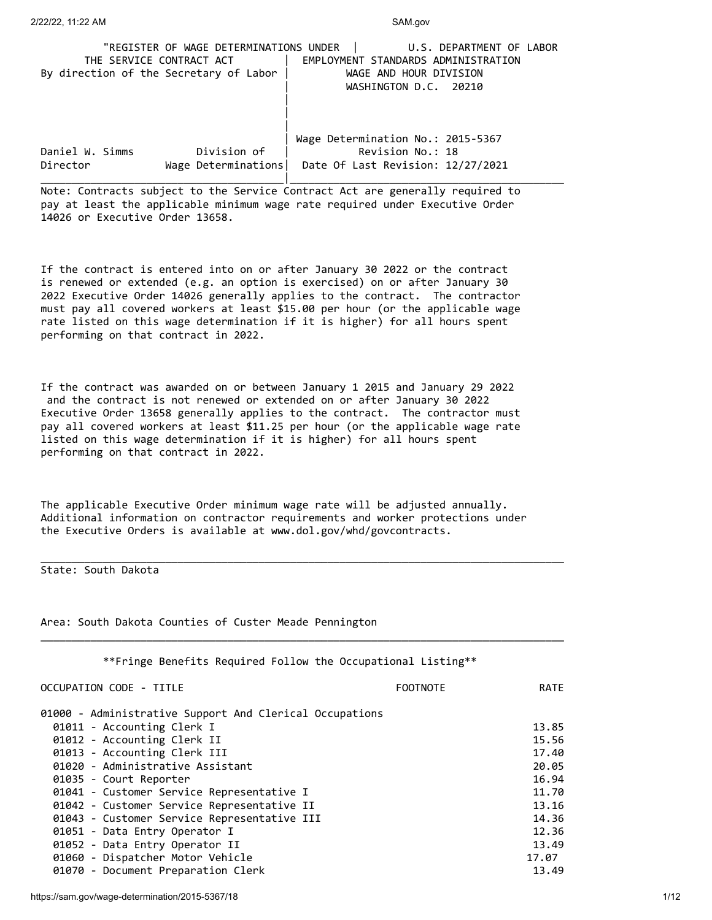|                                        | "REGISTER OF WAGE DETERMINATIONS UNDER | U.S. DEPARTMENT OF LABOR            |
|----------------------------------------|----------------------------------------|-------------------------------------|
| THE SERVICE CONTRACT ACT               |                                        | EMPLOYMENT STANDARDS ADMINISTRATION |
| By direction of the Secretary of Labor |                                        | WAGE AND HOUR DIVISION              |
|                                        |                                        | WASHINGTON D.C. 20210               |
|                                        |                                        |                                     |
|                                        |                                        |                                     |
|                                        |                                        |                                     |
|                                        |                                        | Wage Determination No.: 2015-5367   |
| Daniel W. Simms                        | Division of                            | Revision No.: 18                    |
| Director                               | Wage Determinations                    | Date Of Last Revision: 12/27/2021   |
|                                        |                                        |                                     |

Note: Contracts subject to the Service Contract Act are generally required to pay at least the applicable minimum wage rate required under Executive Order 14026 or Executive Order 13658.

If the contract is entered into on or after January 30 2022 or the contract is renewed or extended (e.g. an option is exercised) on or after January 30 2022 Executive Order 14026 generally applies to the contract. The contractor must pay all covered workers at least \$15.00 per hour (or the applicable wage rate listed on this wage determination if it is higher) for all hours spent performing on that contract in 2022.

If the contract was awarded on or between January 1 2015 and January 29 2022 and the contract is not renewed or extended on or after January 30 2022 Executive Order 13658 generally applies to the contract. The contractor must pay all covered workers at least \$11.25 per hour (or the applicable wage rate listed on this wage determination if it is higher) for all hours spent performing on that contract in 2022.

The applicable Executive Order minimum wage rate will be adjusted annually. Additional information on contractor requirements and worker protections under the Executive Orders is available at www.dol.gov/whd/govcontracts.

\_\_\_\_\_\_\_\_\_\_\_\_\_\_\_\_\_\_\_\_\_\_\_\_\_\_\_\_\_\_\_\_\_\_\_\_\_\_\_\_\_\_\_\_\_\_\_\_\_\_\_\_\_\_\_\_\_\_\_\_\_\_\_\_\_\_\_\_\_\_\_\_\_\_\_\_\_\_\_\_\_\_\_\_

\_\_\_\_\_\_\_\_\_\_\_\_\_\_\_\_\_\_\_\_\_\_\_\_\_\_\_\_\_\_\_\_\_\_\_\_\_\_\_\_\_\_\_\_\_\_\_\_\_\_\_\_\_\_\_\_\_\_\_\_\_\_\_\_\_\_\_\_\_\_\_\_\_\_\_\_\_\_\_\_\_\_\_\_

State: South Dakota

Area: South Dakota Counties of Custer Meade Pennington

| **Fringe Benefits Required Follow the Occupational Listing** |             |
|--------------------------------------------------------------|-------------|
| OCCUPATION CODE - TITLE<br><b>FOOTNOTE</b>                   | <b>RATE</b> |
| 01000 - Administrative Support And Clerical Occupations      |             |
| 01011 - Accounting Clerk I                                   | 13.85       |
| 01012 - Accounting Clerk II                                  | 15.56       |
| 01013 - Accounting Clerk III                                 | 17.40       |
| 01020 - Administrative Assistant                             | 20.05       |
| 01035 - Court Reporter                                       | 16.94       |
| 01041 - Customer Service Representative I                    | 11.70       |
| 01042 - Customer Service Representative II                   | 13.16       |
| 01043 - Customer Service Representative III                  | 14.36       |
| 01051 - Data Entry Operator I                                | 12.36       |
| 01052 - Data Entry Operator II                               | 13.49       |
| 01060 - Dispatcher Motor Vehicle                             | 17.07       |
| 01070 - Document Preparation Clerk                           | 13.49       |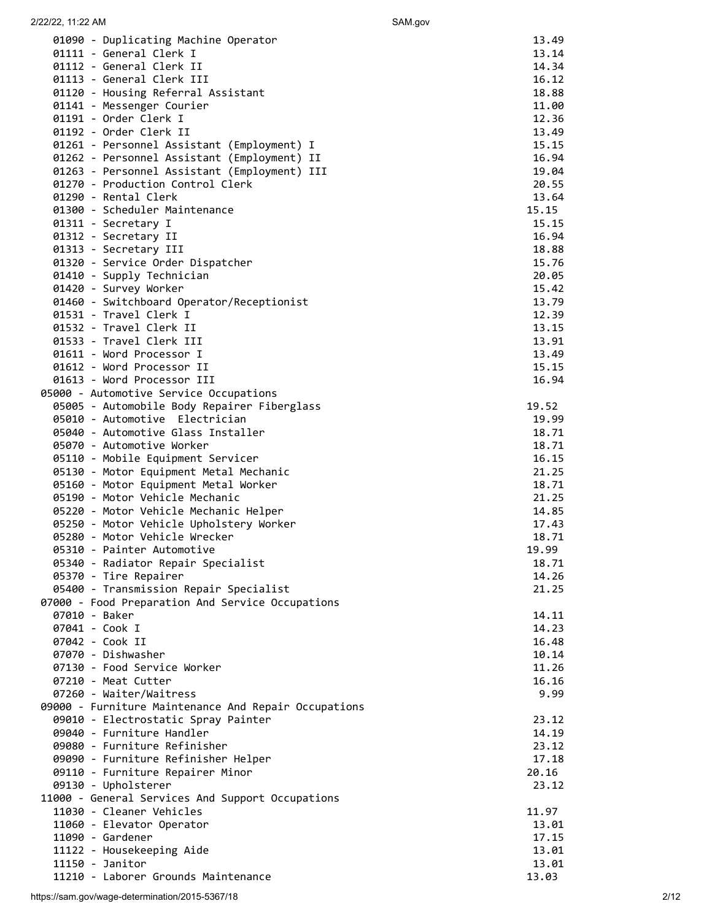| 2/22/22, 11:22 AM                                                                | SAM.gov        |
|----------------------------------------------------------------------------------|----------------|
| 01090 - Duplicating Machine Operator                                             | 13.49          |
| 01111 - General Clerk I                                                          | 13.14          |
| 01112 - General Clerk II                                                         | 14.34          |
| 01113 - General Clerk III                                                        | 16.12          |
| 01120 - Housing Referral Assistant                                               | 18.88          |
| 01141 - Messenger Courier                                                        | 11.00          |
| 01191 - Order Clerk I                                                            | 12.36          |
| 01192 - Order Clerk II                                                           | 13.49          |
| 01261 - Personnel Assistant (Employment) I                                       | 15.15          |
| 01262 - Personnel Assistant (Employment) II                                      | 16.94          |
| 01263 - Personnel Assistant (Employment) III<br>01270 - Production Control Clerk | 19.04<br>20.55 |
| 01290 - Rental Clerk                                                             | 13.64          |
| 01300 - Scheduler Maintenance                                                    | 15.15          |
| 01311 - Secretary I                                                              | 15.15          |
| 01312 - Secretary II                                                             | 16.94          |
| 01313 - Secretary III                                                            | 18.88          |
| 01320 - Service Order Dispatcher                                                 | 15.76          |
| 01410 - Supply Technician                                                        | 20.05          |
| 01420 - Survey Worker                                                            | 15.42          |
| 01460 - Switchboard Operator/Receptionist                                        | 13.79          |
| 01531 - Travel Clerk I                                                           | 12.39          |
| 01532 - Travel Clerk II                                                          | 13.15          |
| 01533 - Travel Clerk III                                                         | 13.91          |
| 01611 - Word Processor I<br>01612 - Word Processor II                            | 13.49          |
| 01613 - Word Processor III                                                       | 15.15<br>16.94 |
| 05000 - Automotive Service Occupations                                           |                |
| 05005 - Automobile Body Repairer Fiberglass                                      | 19.52          |
| 05010 - Automotive Electrician                                                   | 19.99          |
| 05040 - Automotive Glass Installer                                               | 18.71          |
| 05070 - Automotive Worker                                                        | 18.71          |
| 05110 - Mobile Equipment Servicer                                                | 16.15          |
| 05130 - Motor Equipment Metal Mechanic                                           | 21.25          |
| 05160 - Motor Equipment Metal Worker                                             | 18.71          |
| 05190 - Motor Vehicle Mechanic                                                   | 21.25          |
| 05220 - Motor Vehicle Mechanic Helper                                            | 14.85          |
| 05250 - Motor Vehicle Upholstery Worker                                          | 17.43          |
| 05280 - Motor Vehicle Wrecker                                                    | 18.71          |
| 05310 - Painter Automotive<br>05340 - Radiator Repair Specialist                 | 19.99<br>18.71 |
| 05370 - Tire Repairer                                                            | 14.26          |
| 05400 - Transmission Repair Specialist                                           | 21.25          |
| 07000 - Food Preparation And Service Occupations                                 |                |
| 07010 - Baker                                                                    | 14.11          |
| 07041 - Cook I                                                                   | 14.23          |
| 07042 - Cook II                                                                  | 16.48          |
| 07070 - Dishwasher                                                               | 10.14          |
| 07130 - Food Service Worker                                                      | 11.26          |
| 07210 - Meat Cutter                                                              | 16.16          |
| 07260 - Waiter/Waitress                                                          | 9.99           |
| 09000 - Furniture Maintenance And Repair Occupations                             |                |
| 09010 - Electrostatic Spray Painter<br>09040 - Furniture Handler                 | 23.12<br>14.19 |
| 09080 - Furniture Refinisher                                                     | 23.12          |
| 09090 - Furniture Refinisher Helper                                              | 17.18          |
| 09110 - Furniture Repairer Minor                                                 | 20.16          |
| 09130 - Upholsterer                                                              | 23.12          |
| 11000 - General Services And Support Occupations                                 |                |
| 11030 - Cleaner Vehicles                                                         | 11.97          |
| 11060 - Elevator Operator                                                        | 13.01          |
| 11090 - Gardener                                                                 | 17.15          |
| 11122 - Housekeeping Aide                                                        | 13.01          |
| 11150 - Janitor                                                                  | 13.01          |
| 11210 - Laborer Grounds Maintenance                                              | 13.03          |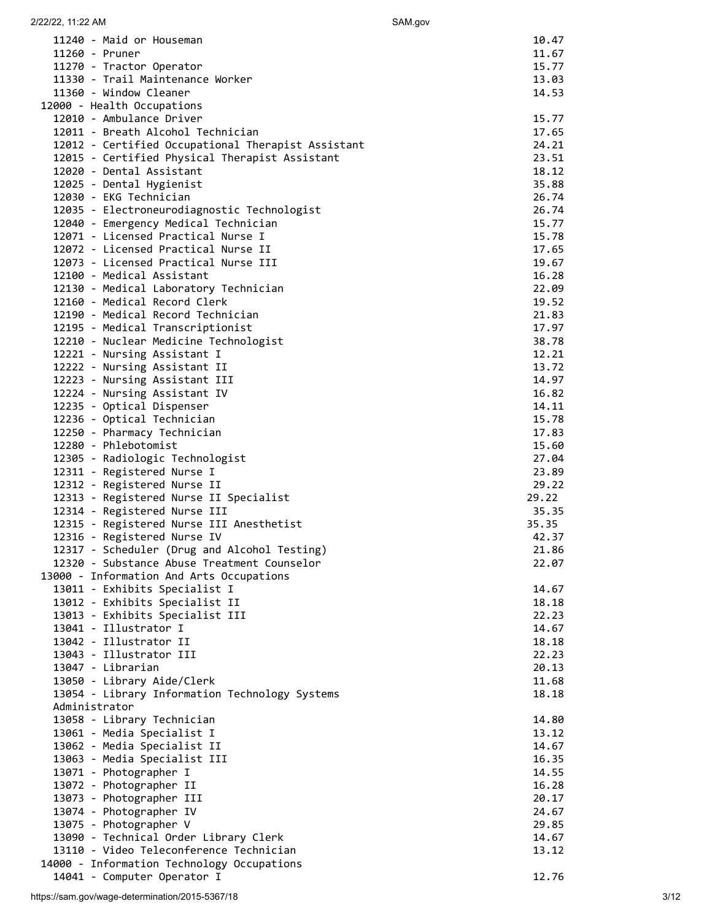| 11240 - Maid or Houseman                                                  | 10.47          |
|---------------------------------------------------------------------------|----------------|
| 11260 - Pruner                                                            | 11.67          |
| 11270 - Tractor Operator                                                  | 15.77          |
| 11330 - Trail Maintenance Worker                                          | 13.03          |
| 11360 - Window Cleaner                                                    | 14.53          |
| 12000 - Health Occupations                                                |                |
| 12010 - Ambulance Driver                                                  | 15.77          |
| 12011 - Breath Alcohol Technician                                         | 17.65          |
| 12012 - Certified Occupational Therapist Assistant                        | 24.21          |
| 12015 - Certified Physical Therapist Assistant                            | 23.51          |
| 12020 - Dental Assistant                                                  | 18.12          |
| 12025 - Dental Hygienist                                                  | 35.88          |
| 12030 - EKG Technician                                                    | 26.74          |
| 12035 - Electroneurodiagnostic Technologist                               | 26.74          |
| 12040 - Emergency Medical Technician                                      | 15.77          |
| 12071 - Licensed Practical Nurse I                                        | 15.78          |
| 12072 - Licensed Practical Nurse II                                       | 17.65          |
| 12073 - Licensed Practical Nurse III                                      | 19.67          |
| 12100 - Medical Assistant                                                 | 16.28          |
| 12130 - Medical Laboratory Technician                                     | 22.09          |
| 12160 - Medical Record Clerk                                              | 19.52          |
| 12190 - Medical Record Technician                                         | 21.83          |
| 12195 - Medical Transcriptionist                                          | 17.97          |
| 12210 - Nuclear Medicine Technologist                                     | 38.78          |
| 12221 - Nursing Assistant I                                               | 12.21<br>13.72 |
| 12222 - Nursing Assistant II                                              | 14.97          |
| 12223 - Nursing Assistant III<br>12224 - Nursing Assistant IV             | 16.82          |
| 12235 - Optical Dispenser                                                 | 14.11          |
| 12236 - Optical Technician                                                | 15.78          |
| 12250 - Pharmacy Technician                                               | 17.83          |
| 12280 - Phlebotomist                                                      | 15.60          |
| 12305 - Radiologic Technologist                                           | 27.04          |
| 12311 - Registered Nurse I                                                | 23.89          |
| 12312 - Registered Nurse II                                               | 29.22          |
| 12313 - Registered Nurse II Specialist                                    | 29.22          |
| 12314 - Registered Nurse III                                              | 35.35          |
| 12315 - Registered Nurse III Anesthetist                                  | 35.35          |
| 12316 - Registered Nurse IV                                               | 42.37          |
| 12317 - Scheduler (Drug and Alcohol Testing)                              | 21.86          |
| 12320 - Substance Abuse Treatment Counselor                               | 22.07          |
| 13000 - Information And Arts Occupations                                  |                |
| 13011 - Exhibits Specialist I                                             | 14.67          |
| 13012 - Exhibits Specialist II                                            | 18.18          |
| 13013 - Exhibits Specialist III                                           | 22.23          |
| 13041 - Illustrator I                                                     | 14.67          |
| 13042 - Illustrator II                                                    | 18.18          |
| 13043 - Illustrator III                                                   | 22.23          |
| 13047 - Librarian                                                         | 20.13          |
| 13050 - Library Aide/Clerk                                                | 11.68          |
| 13054 - Library Information Technology Systems                            | 18.18          |
| Administrator                                                             |                |
| 13058 - Library Technician                                                | 14.80          |
| 13061 - Media Specialist I                                                | 13.12          |
| 13062 - Media Specialist II                                               | 14.67          |
| 13063 - Media Specialist III                                              | 16.35          |
| 13071 - Photographer I                                                    | 14.55          |
| 13072 - Photographer II                                                   | 16.28          |
| 13073 - Photographer III                                                  | 20.17          |
| 13074 - Photographer IV                                                   | 24.67          |
|                                                                           |                |
| 13075 - Photographer V                                                    | 29.85          |
| 13090 - Technical Order Library Clerk                                     | 14.67          |
| 13110 - Video Teleconference Technician                                   | 13.12          |
| 14000 - Information Technology Occupations<br>14041 - Computer Operator I |                |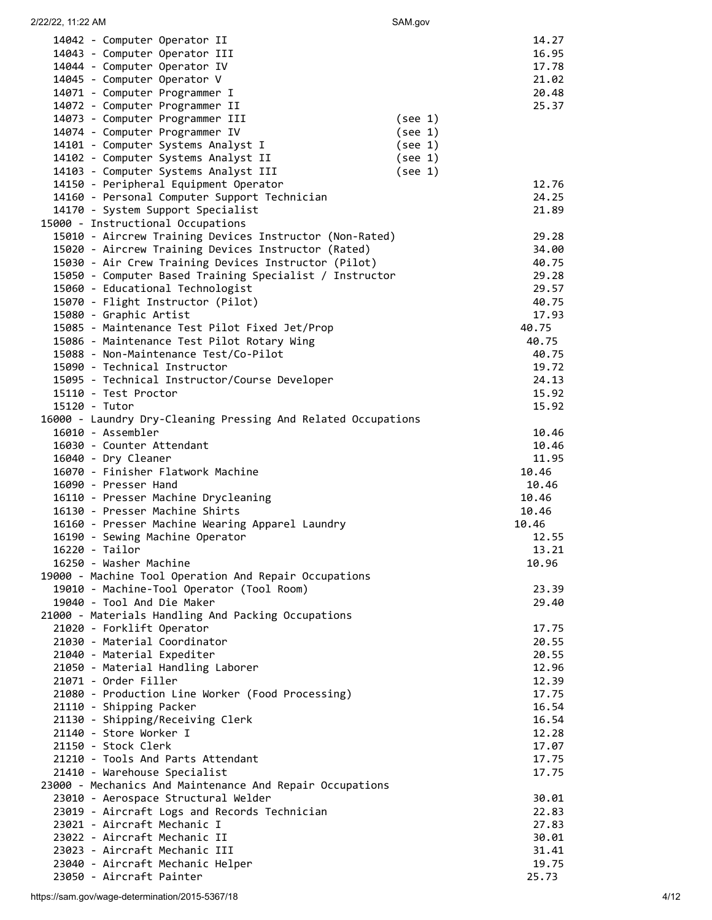| 14042 - Computer Operator II<br>14043 - Computer Operator III<br>14044 - Computer Operator IV | 14.27<br>16.95<br>17.78 |
|-----------------------------------------------------------------------------------------------|-------------------------|
| 14045 - Computer Operator V                                                                   | 21.02                   |
| 14071 - Computer Programmer I                                                                 | 20.48                   |
| 14072 - Computer Programmer II                                                                | 25.37                   |
| 14073 - Computer Programmer III                                                               | (see 1)                 |
| 14074 - Computer Programmer IV                                                                | (see 1)                 |
| 14101 - Computer Systems Analyst I                                                            | (see 1)                 |
| 14102 - Computer Systems Analyst II                                                           | (see 1)                 |
| 14103 - Computer Systems Analyst III                                                          | (see 1)                 |
| 14150 - Peripheral Equipment Operator                                                         | 12.76                   |
| 14160 - Personal Computer Support Technician                                                  | 24.25                   |
| 14170 - System Support Specialist                                                             | 21.89                   |
| 15000 - Instructional Occupations                                                             |                         |
| 15010 - Aircrew Training Devices Instructor (Non-Rated)                                       | 29.28                   |
| 15020 - Aircrew Training Devices Instructor (Rated)                                           | 34.00                   |
| 15030 - Air Crew Training Devices Instructor (Pilot)                                          | 40.75                   |
| 15050 - Computer Based Training Specialist / Instructor                                       | 29.28                   |
| 15060 - Educational Technologist                                                              | 29.57                   |
| 15070 - Flight Instructor (Pilot)                                                             | 40.75                   |
| 15080 - Graphic Artist                                                                        | 17.93                   |
| 15085 - Maintenance Test Pilot Fixed Jet/Prop                                                 | 40.75                   |
| 15086 - Maintenance Test Pilot Rotary Wing                                                    | 40.75                   |
| 15088 - Non-Maintenance Test/Co-Pilot                                                         | 40.75                   |
| 15090 - Technical Instructor                                                                  | 19.72                   |
| 15095 - Technical Instructor/Course Developer                                                 | 24.13                   |
| 15110 - Test Proctor                                                                          | 15.92                   |
| 15120 - Tutor                                                                                 | 15.92                   |
| 16000 - Laundry Dry-Cleaning Pressing And Related Occupations                                 |                         |
| 16010 - Assembler                                                                             | 10.46                   |
| 16030 - Counter Attendant                                                                     | 10.46                   |
| 16040 - Dry Cleaner                                                                           | 11.95                   |
| 16070 - Finisher Flatwork Machine                                                             | 10.46                   |
|                                                                                               |                         |
| 16090 - Presser Hand                                                                          | 10.46                   |
| 16110 - Presser Machine Drycleaning                                                           | 10.46                   |
| 16130 - Presser Machine Shirts                                                                | 10.46                   |
| 16160 - Presser Machine Wearing Apparel Laundry                                               | 10.46                   |
| 16190 - Sewing Machine Operator                                                               | 12.55                   |
| 16220 - Tailor                                                                                | 13.21                   |
| 16250 - Washer Machine                                                                        | 10.96                   |
| 19000 - Machine Tool Operation And Repair Occupations                                         |                         |
| 19010 - Machine-Tool Operator (Tool Room)                                                     | 23.39                   |
| 19040 - Tool And Die Maker                                                                    | 29.40                   |
| 21000 - Materials Handling And Packing Occupations                                            |                         |
| 21020 - Forklift Operator                                                                     | 17.75                   |
| 21030 - Material Coordinator                                                                  | 20.55                   |
| 21040 - Material Expediter                                                                    | 20.55                   |
| 21050 - Material Handling Laborer                                                             | 12.96                   |
| 21071 - Order Filler                                                                          | 12.39                   |
| 21080 - Production Line Worker (Food Processing)                                              | 17.75                   |
| 21110 - Shipping Packer                                                                       | 16.54                   |
| 21130 - Shipping/Receiving Clerk                                                              | 16.54                   |
| 21140 - Store Worker I                                                                        | 12.28                   |
| 21150 - Stock Clerk                                                                           | 17.07                   |
| 21210 - Tools And Parts Attendant                                                             | 17.75                   |
| 21410 - Warehouse Specialist                                                                  | 17.75                   |
| 23000 - Mechanics And Maintenance And Repair Occupations                                      |                         |
| 23010 - Aerospace Structural Welder                                                           | 30.01                   |
| 23019 - Aircraft Logs and Records Technician                                                  | 22.83                   |
| 23021 - Aircraft Mechanic I                                                                   | 27.83                   |
| 23022 - Aircraft Mechanic II                                                                  | 30.01                   |
| 23023 - Aircraft Mechanic III                                                                 | 31.41                   |
| 23040 - Aircraft Mechanic Helper<br>23050 - Aircraft Painter                                  | 19.75<br>25.73          |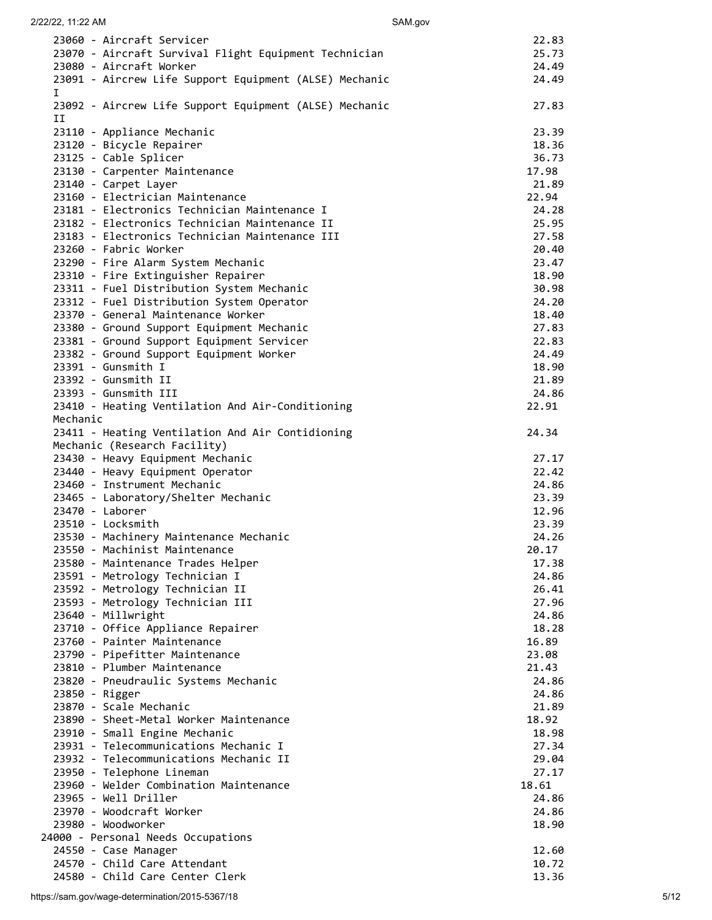| 23060 - Aircraft Servicer                              | 22.83 |
|--------------------------------------------------------|-------|
| 23070 - Aircraft Survival Flight Equipment Technician  | 25.73 |
| 23080 - Aircraft Worker                                | 24.49 |
| 23091 - Aircrew Life Support Equipment (ALSE) Mechanic | 24.49 |
| $\mathbf{I}$                                           |       |
| 23092 - Aircrew Life Support Equipment (ALSE) Mechanic | 27.83 |
| II                                                     |       |
| 23110 - Appliance Mechanic                             | 23.39 |
| 23120 - Bicycle Repairer                               | 18.36 |
| 23125 - Cable Splicer                                  | 36.73 |
| 23130 - Carpenter Maintenance                          | 17.98 |
| 23140 - Carpet Layer                                   | 21.89 |
| 23160 - Electrician Maintenance                        | 22.94 |
| 23181 - Electronics Technician Maintenance I           | 24.28 |
| 23182 - Electronics Technician Maintenance II          | 25.95 |
| 23183 - Electronics Technician Maintenance III         | 27.58 |
| 23260 - Fabric Worker                                  | 20.40 |
|                                                        |       |
| 23290 - Fire Alarm System Mechanic                     | 23.47 |
| 23310 - Fire Extinguisher Repairer                     | 18.90 |
| 23311 - Fuel Distribution System Mechanic              | 30.98 |
| 23312 - Fuel Distribution System Operator              | 24.20 |
| 23370 - General Maintenance Worker                     | 18.40 |
| 23380 - Ground Support Equipment Mechanic              | 27.83 |
| 23381 - Ground Support Equipment Servicer              | 22.83 |
| 23382 - Ground Support Equipment Worker                | 24.49 |
| 23391 - Gunsmith I                                     | 18.90 |
| 23392 - Gunsmith II                                    | 21.89 |
| 23393 - Gunsmith III                                   | 24.86 |
| 23410 - Heating Ventilation And Air-Conditioning       | 22.91 |
| Mechanic                                               |       |
| 23411 - Heating Ventilation And Air Contidioning       | 24.34 |
| Mechanic (Research Facility)                           |       |
| 23430 - Heavy Equipment Mechanic                       | 27.17 |
| 23440 - Heavy Equipment Operator                       | 22.42 |
|                                                        |       |
| 23460 - Instrument Mechanic                            | 24.86 |
| 23465 - Laboratory/Shelter Mechanic                    | 23.39 |
| 23470 - Laborer                                        | 12.96 |
| 23510 - Locksmith                                      | 23.39 |
| 23530 - Machinery Maintenance Mechanic                 | 24.26 |
| 23550 - Machinist Maintenance                          | 20.17 |
| 23580 - Maintenance Trades Helper                      | 17.38 |
| 23591 - Metrology Technician I                         | 24.86 |
| 23592 - Metrology Technician II                        | 26.41 |
| 23593 - Metrology Technician III                       | 27.96 |
| 23640 - Millwright                                     | 24.86 |
| 23710 - Office Appliance Repairer                      | 18.28 |
| 23760 - Painter Maintenance                            | 16.89 |
| 23790 - Pipefitter Maintenance                         | 23.08 |
| 23810 - Plumber Maintenance                            | 21.43 |
| 23820 - Pneudraulic Systems Mechanic                   | 24.86 |
| 23850 - Rigger                                         | 24.86 |
| 23870 - Scale Mechanic                                 | 21.89 |
| 23890 - Sheet-Metal Worker Maintenance                 | 18.92 |
| 23910 - Small Engine Mechanic                          | 18.98 |
| 23931 - Telecommunications Mechanic I                  | 27.34 |
| 23932 - Telecommunications Mechanic II                 |       |
|                                                        | 29.04 |
| 23950 - Telephone Lineman                              | 27.17 |
| 23960 - Welder Combination Maintenance                 | 18.61 |
| 23965 - Well Driller                                   | 24.86 |
| 23970 - Woodcraft Worker                               | 24.86 |
| 23980 - Woodworker                                     | 18.90 |
| 24000 - Personal Needs Occupations                     |       |
| 24550 - Case Manager                                   | 12.60 |
| 24570 - Child Care Attendant                           | 10.72 |
| 24580 - Child Care Center Clerk                        | 13.36 |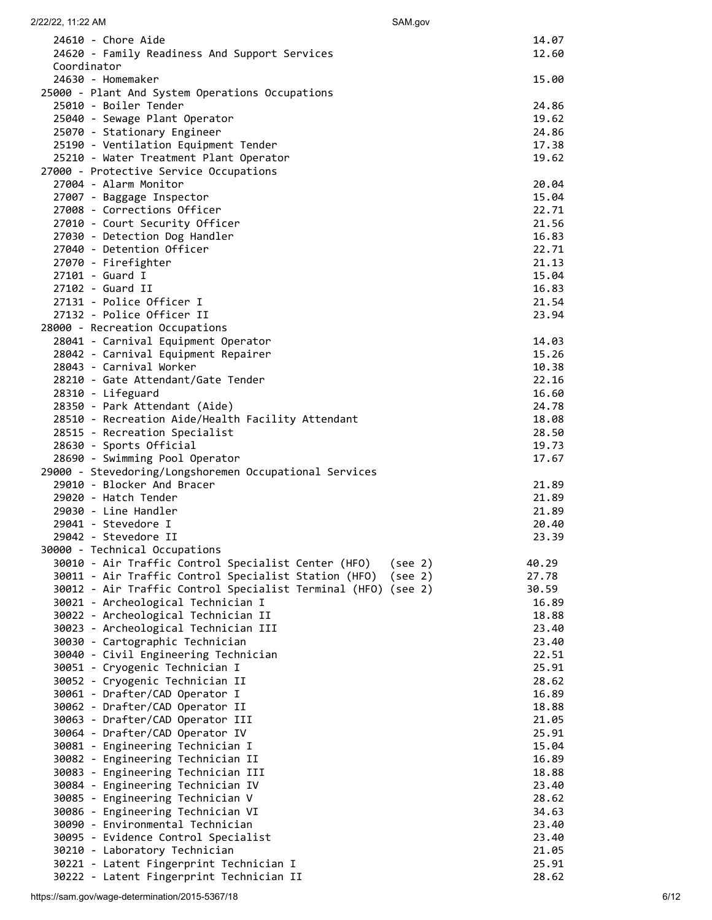| 2/22/22, 11:22 AM                                                                    | SAM.gov          |
|--------------------------------------------------------------------------------------|------------------|
| 24610 - Chore Aide                                                                   | 14.07            |
| 24620 - Family Readiness And Support Services                                        | 12.60            |
| Coordinator                                                                          |                  |
| 24630 - Homemaker<br>25000 - Plant And System Operations Occupations                 | 15.00            |
| 25010 - Boiler Tender                                                                | 24.86            |
| 25040 - Sewage Plant Operator                                                        | 19.62            |
| 25070 - Stationary Engineer                                                          | 24.86            |
| 25190 - Ventilation Equipment Tender                                                 | 17.38            |
| 25210 - Water Treatment Plant Operator<br>27000 - Protective Service Occupations     | 19.62            |
| 27004 - Alarm Monitor                                                                | 20.04            |
| 27007 - Baggage Inspector                                                            | 15.04            |
| 27008 - Corrections Officer                                                          | 22.71            |
| 27010 - Court Security Officer                                                       | 21.56            |
| 27030 - Detection Dog Handler<br>27040 - Detention Officer                           | 16.83<br>22.71   |
| 27070 - Firefighter                                                                  | 21.13            |
| 27101 - Guard I                                                                      | 15.04            |
| 27102 - Guard II                                                                     | 16.83            |
| 27131 - Police Officer I                                                             | 21.54            |
| 27132 - Police Officer II<br>28000 - Recreation Occupations                          | 23.94            |
| 28041 - Carnival Equipment Operator                                                  | 14.03            |
| 28042 - Carnival Equipment Repairer                                                  | 15.26            |
| 28043 - Carnival Worker                                                              | 10.38            |
| 28210 - Gate Attendant/Gate Tender                                                   | 22.16            |
| 28310 - Lifeguard<br>28350 - Park Attendant (Aide)                                   | 16.60<br>24.78   |
| 28510 - Recreation Aide/Health Facility Attendant                                    | 18.08            |
| 28515 - Recreation Specialist                                                        | 28.50            |
| 28630 - Sports Official                                                              | 19.73            |
| 28690 - Swimming Pool Operator                                                       | 17.67            |
| 29000 - Stevedoring/Longshoremen Occupational Services<br>29010 - Blocker And Bracer | 21.89            |
| 29020 - Hatch Tender                                                                 | 21.89            |
| 29030 - Line Handler                                                                 | 21.89            |
| 29041 - Stevedore I                                                                  | 20.40            |
| 29042 - Stevedore II                                                                 | 23.39            |
| 30000 - Technical Occupations<br>30010 - Air Traffic Control Specialist Center (HFO) | 40.29<br>(see 2) |
| 30011 - Air Traffic Control Specialist Station (HFO)                                 | 27.78<br>(see 2) |
| 30012 - Air Traffic Control Specialist Terminal (HFO) (see 2)                        | 30.59            |
| 30021 - Archeological Technician I                                                   | 16.89            |
| 30022 - Archeological Technician II<br>30023 - Archeological Technician III          | 18.88<br>23.40   |
| 30030 - Cartographic Technician                                                      | 23.40            |
| 30040 - Civil Engineering Technician                                                 | 22.51            |
| 30051 - Cryogenic Technician I                                                       | 25.91            |
| 30052 - Cryogenic Technician II                                                      | 28.62            |
| 30061 - Drafter/CAD Operator I<br>30062 - Drafter/CAD Operator II                    | 16.89<br>18.88   |
| 30063 - Drafter/CAD Operator III                                                     | 21.05            |
| 30064 - Drafter/CAD Operator IV                                                      | 25.91            |
| 30081 - Engineering Technician I                                                     | 15.04            |
| 30082 - Engineering Technician II                                                    | 16.89            |
| 30083 - Engineering Technician III<br>30084 - Engineering Technician IV              | 18.88<br>23.40   |
| 30085 - Engineering Technician V                                                     | 28.62            |
| 30086 - Engineering Technician VI                                                    | 34.63            |
| 30090 - Environmental Technician                                                     | 23.40            |
| 30095 - Evidence Control Specialist                                                  | 23.40            |
| 30210 - Laboratory Technician<br>30221 - Latent Fingerprint Technician I             | 21.05<br>25.91   |
| 30222 - Latent Fingerprint Technician II                                             | 28.62            |

# https://sam.gov/wage-determination/2015-5367/18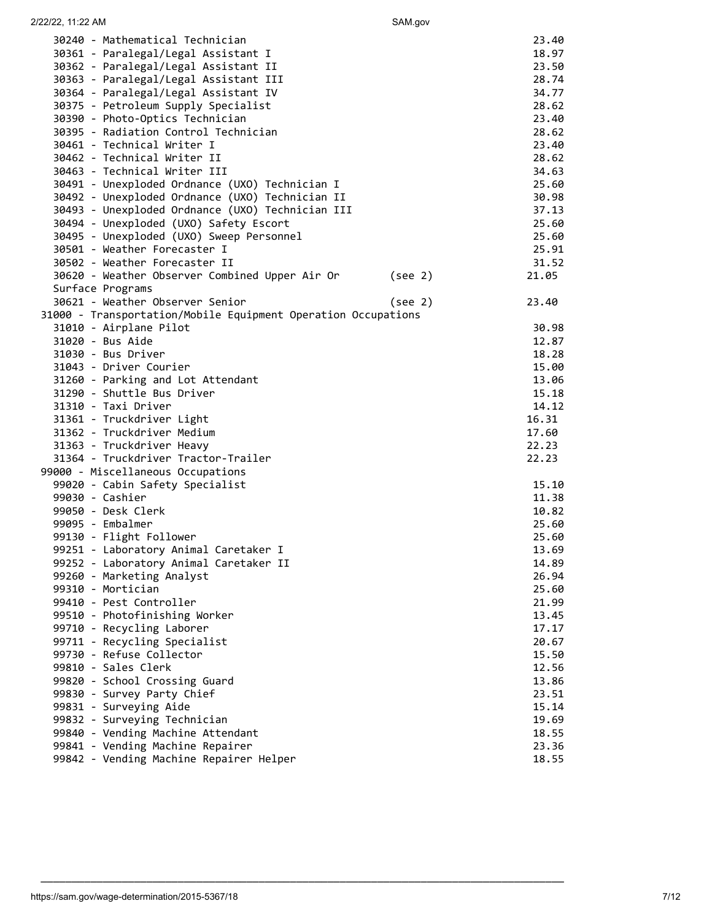| 2/22/22, 11:22 AM                                             | SAM.gov |                |
|---------------------------------------------------------------|---------|----------------|
| 30240 - Mathematical Technician                               |         | 23.40          |
| 30361 - Paralegal/Legal Assistant I                           |         | 18.97          |
| 30362 - Paralegal/Legal Assistant II                          |         | 23.50          |
| 30363 - Paralegal/Legal Assistant III                         |         | 28.74          |
| 30364 - Paralegal/Legal Assistant IV                          |         | 34.77          |
| 30375 - Petroleum Supply Specialist                           |         | 28.62          |
| 30390 - Photo-Optics Technician                               |         | 23.40          |
| 30395 - Radiation Control Technician                          |         | 28.62          |
| 30461 - Technical Writer I                                    |         | 23.40          |
| 30462 - Technical Writer II                                   |         | 28.62          |
| 30463 - Technical Writer III                                  |         | 34.63          |
| 30491 - Unexploded Ordnance (UXO) Technician I                |         |                |
|                                                               |         | 25.60<br>30.98 |
| 30492 - Unexploded Ordnance (UXO) Technician II               |         |                |
| 30493 - Unexploded Ordnance (UXO) Technician III              |         | 37.13          |
| 30494 - Unexploded (UXO) Safety Escort                        |         | 25.60          |
| 30495 - Unexploded (UXO) Sweep Personnel                      |         | 25.60          |
| 30501 - Weather Forecaster I                                  |         | 25.91          |
| 30502 - Weather Forecaster II                                 |         | 31.52          |
| 30620 - Weather Observer Combined Upper Air Or                | (see 2) | 21.05          |
| Surface Programs                                              |         |                |
| 30621 - Weather Observer Senior                               | (see 2) | 23.40          |
| 31000 - Transportation/Mobile Equipment Operation Occupations |         |                |
| 31010 - Airplane Pilot                                        |         | 30.98          |
| 31020 - Bus Aide                                              |         | 12.87          |
| 31030 - Bus Driver                                            |         | 18.28          |
| 31043 - Driver Courier                                        |         | 15.00          |
| 31260 - Parking and Lot Attendant                             |         | 13.06          |
| 31290 - Shuttle Bus Driver                                    |         | 15.18          |
| 31310 - Taxi Driver                                           |         | 14.12          |
| 31361 - Truckdriver Light                                     |         | 16.31          |
| 31362 - Truckdriver Medium                                    |         | 17.60          |
| 31363 - Truckdriver Heavy                                     |         | 22.23          |
| 31364 - Truckdriver Tractor-Trailer                           |         | 22.23          |
| 99000 - Miscellaneous Occupations                             |         |                |
| 99020 - Cabin Safety Specialist                               |         | 15.10          |
| 99030 - Cashier                                               |         | 11.38          |
| 99050 - Desk Clerk                                            |         | 10.82          |
| 99095 - Embalmer                                              |         | 25.60          |
| 99130 - Flight Follower                                       |         | 25.60          |
| 99251 - Laboratory Animal Caretaker I                         |         | 13.69          |
| 99252 - Laboratory Animal Caretaker II                        |         | 14.89          |
| 99260 - Marketing Analyst                                     |         | 26.94          |
| 99310 - Mortician                                             |         | 25.60          |
| 99410 - Pest Controller                                       |         | 21.99          |
| 99510 - Photofinishing Worker                                 |         | 13.45          |
| 99710 - Recycling Laborer                                     |         | 17.17          |
| 99711 - Recycling Specialist                                  |         | 20.67          |
| 99730 - Refuse Collector                                      |         | 15.50          |
| 99810 - Sales Clerk                                           |         | 12.56          |
| 99820 - School Crossing Guard                                 |         | 13.86          |
| 99830 - Survey Party Chief                                    |         | 23.51          |
| 99831 - Surveying Aide                                        |         | 15.14          |
| 99832 - Surveying Technician                                  |         | 19.69          |
| 99840 - Vending Machine Attendant                             |         | 18.55          |
| 99841 - Vending Machine Repairer                              |         | 23.36          |
| 99842 - Vending Machine Repairer Helper                       |         | 18.55          |
|                                                               |         |                |

\_\_\_\_\_\_\_\_\_\_\_\_\_\_\_\_\_\_\_\_\_\_\_\_\_\_\_\_\_\_\_\_\_\_\_\_\_\_\_\_\_\_\_\_\_\_\_\_\_\_\_\_\_\_\_\_\_\_\_\_\_\_\_\_\_\_\_\_\_\_\_\_\_\_\_\_\_\_\_\_\_\_\_\_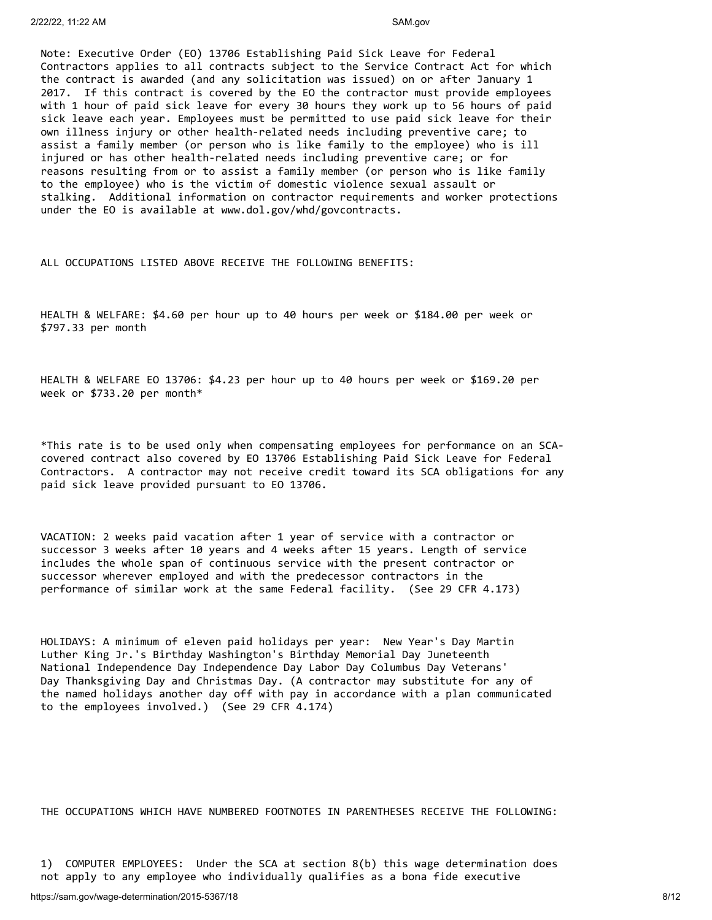Note: Executive Order (EO) 13706 Establishing Paid Sick Leave for Federal Contractors applies to all contracts subject to the Service Contract Act for which the contract is awarded (and any solicitation was issued) on or after January 1 2017. If this contract is covered by the EO the contractor must provide employees with 1 hour of paid sick leave for every 30 hours they work up to 56 hours of paid sick leave each year. Employees must be permitted to use paid sick leave for their own illness injury or other health-related needs including preventive care; to assist a family member (or person who is like family to the employee) who is ill injured or has other health-related needs including preventive care; or for reasons resulting from or to assist a family member (or person who is like family to the employee) who is the victim of domestic violence sexual assault or stalking. Additional information on contractor requirements and worker protections under the EO is available at www.dol.gov/whd/govcontracts.

ALL OCCUPATIONS LISTED ABOVE RECEIVE THE FOLLOWING BENEFITS:

HEALTH & WELFARE: \$4.60 per hour up to 40 hours per week or \$184.00 per week or \$797.33 per month

HEALTH & WELFARE EO 13706: \$4.23 per hour up to 40 hours per week or \$169.20 per week or \$733.20 per month\*

\*This rate is to be used only when compensating employees for performance on an SCAcovered contract also covered by EO 13706 Establishing Paid Sick Leave for Federal Contractors. A contractor may not receive credit toward its SCA obligations for any paid sick leave provided pursuant to EO 13706.

VACATION: 2 weeks paid vacation after 1 year of service with a contractor or successor 3 weeks after 10 years and 4 weeks after 15 years. Length of service includes the whole span of continuous service with the present contractor or successor wherever employed and with the predecessor contractors in the performance of similar work at the same Federal facility. (See 29 CFR 4.173)

HOLIDAYS: A minimum of eleven paid holidays per year: New Year's Day Martin Luther King Jr.'s Birthday Washington's Birthday Memorial Day Juneteenth National Independence Day Independence Day Labor Day Columbus Day Veterans' Day Thanksgiving Day and Christmas Day. (A contractor may substitute for any of the named holidays another day off with pay in accordance with a plan communicated to the employees involved.) (See 29 CFR 4.174)

THE OCCUPATIONS WHICH HAVE NUMBERED FOOTNOTES IN PARENTHESES RECEIVE THE FOLLOWING:

1) COMPUTER EMPLOYEES: Under the SCA at section 8(b) this wage determination does not apply to any employee who individually qualifies as a bona fide executive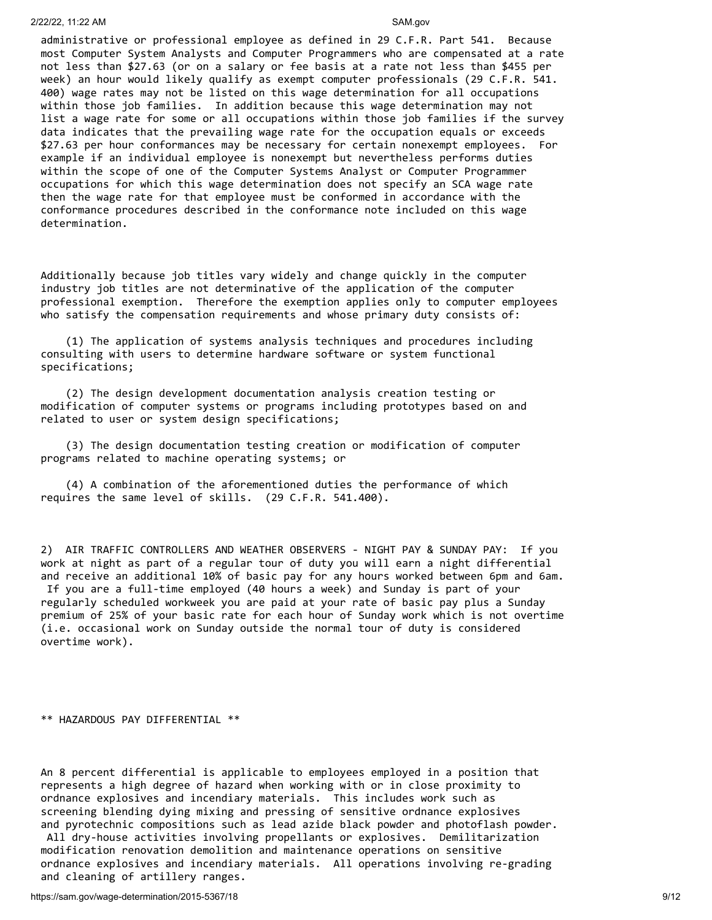### 2/22/22, 11:22 AM SAM.gov

administrative or professional employee as defined in 29 C.F.R. Part 541. Because most Computer System Analysts and Computer Programmers who are compensated at a rate not less than \$27.63 (or on a salary or fee basis at a rate not less than \$455 per week) an hour would likely qualify as exempt computer professionals (29 C.F.R. 541. 400) wage rates may not be listed on this wage determination for all occupations within those job families. In addition because this wage determination may not list a wage rate for some or all occupations within those job families if the survey data indicates that the prevailing wage rate for the occupation equals or exceeds \$27.63 per hour conformances may be necessary for certain nonexempt employees. For example if an individual employee is nonexempt but nevertheless performs duties within the scope of one of the Computer Systems Analyst or Computer Programmer occupations for which this wage determination does not specify an SCA wage rate then the wage rate for that employee must be conformed in accordance with the conformance procedures described in the conformance note included on this wage determination.

Additionally because job titles vary widely and change quickly in the computer industry job titles are not determinative of the application of the computer professional exemption. Therefore the exemption applies only to computer employees who satisfy the compensation requirements and whose primary duty consists of:

 (1) The application of systems analysis techniques and procedures including consulting with users to determine hardware software or system functional specifications;

 (2) The design development documentation analysis creation testing or modification of computer systems or programs including prototypes based on and related to user or system design specifications;

 (3) The design documentation testing creation or modification of computer programs related to machine operating systems; or

 (4) A combination of the aforementioned duties the performance of which requires the same level of skills. (29 C.F.R. 541.400).

2) AIR TRAFFIC CONTROLLERS AND WEATHER OBSERVERS - NIGHT PAY & SUNDAY PAY: If you work at night as part of a regular tour of duty you will earn a night differential and receive an additional 10% of basic pay for any hours worked between 6pm and 6am. If you are a full-time employed (40 hours a week) and Sunday is part of your regularly scheduled workweek you are paid at your rate of basic pay plus a Sunday premium of 25% of your basic rate for each hour of Sunday work which is not overtime (i.e. occasional work on Sunday outside the normal tour of duty is considered overtime work).

### \*\* HAZARDOUS PAY DIFFERENTIAL \*\*

An 8 percent differential is applicable to employees employed in a position that represents a high degree of hazard when working with or in close proximity to ordnance explosives and incendiary materials. This includes work such as screening blending dying mixing and pressing of sensitive ordnance explosives and pyrotechnic compositions such as lead azide black powder and photoflash powder. All dry-house activities involving propellants or explosives. Demilitarization modification renovation demolition and maintenance operations on sensitive ordnance explosives and incendiary materials. All operations involving re-grading

and cleaning of artillery ranges.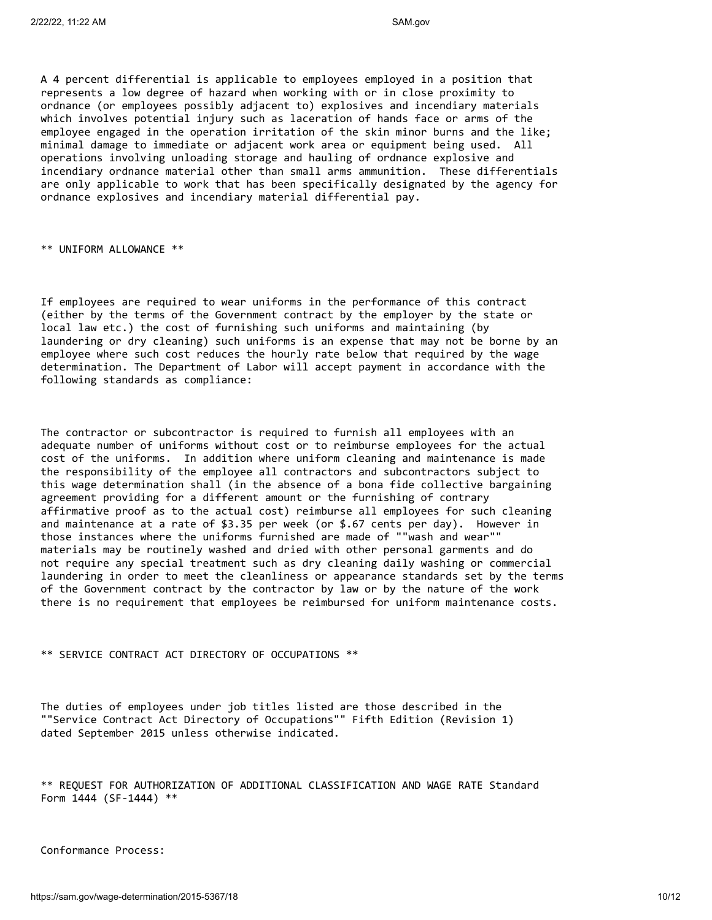A 4 percent differential is applicable to employees employed in a position that represents a low degree of hazard when working with or in close proximity to ordnance (or employees possibly adjacent to) explosives and incendiary materials which involves potential injury such as laceration of hands face or arms of the employee engaged in the operation irritation of the skin minor burns and the like; minimal damage to immediate or adjacent work area or equipment being used. All operations involving unloading storage and hauling of ordnance explosive and incendiary ordnance material other than small arms ammunition. These differentials are only applicable to work that has been specifically designated by the agency for ordnance explosives and incendiary material differential pay.

\*\* UNIFORM ALLOWANCE \*\*

If employees are required to wear uniforms in the performance of this contract (either by the terms of the Government contract by the employer by the state or local law etc.) the cost of furnishing such uniforms and maintaining (by laundering or dry cleaning) such uniforms is an expense that may not be borne by an employee where such cost reduces the hourly rate below that required by the wage determination. The Department of Labor will accept payment in accordance with the following standards as compliance:

The contractor or subcontractor is required to furnish all employees with an adequate number of uniforms without cost or to reimburse employees for the actual cost of the uniforms. In addition where uniform cleaning and maintenance is made the responsibility of the employee all contractors and subcontractors subject to this wage determination shall (in the absence of a bona fide collective bargaining agreement providing for a different amount or the furnishing of contrary affirmative proof as to the actual cost) reimburse all employees for such cleaning and maintenance at a rate of \$3.35 per week (or \$.67 cents per day). However in those instances where the uniforms furnished are made of ""wash and wear"" materials may be routinely washed and dried with other personal garments and do not require any special treatment such as dry cleaning daily washing or commercial laundering in order to meet the cleanliness or appearance standards set by the terms of the Government contract by the contractor by law or by the nature of the work there is no requirement that employees be reimbursed for uniform maintenance costs.

## \*\* SERVICE CONTRACT ACT DIRECTORY OF OCCUPATIONS \*\*

The duties of employees under job titles listed are those described in the ""Service Contract Act Directory of Occupations"" Fifth Edition (Revision 1) dated September 2015 unless otherwise indicated.

\*\* REQUEST FOR AUTHORIZATION OF ADDITIONAL CLASSIFICATION AND WAGE RATE Standard Form 1444 (SF-1444) \*\*

Conformance Process: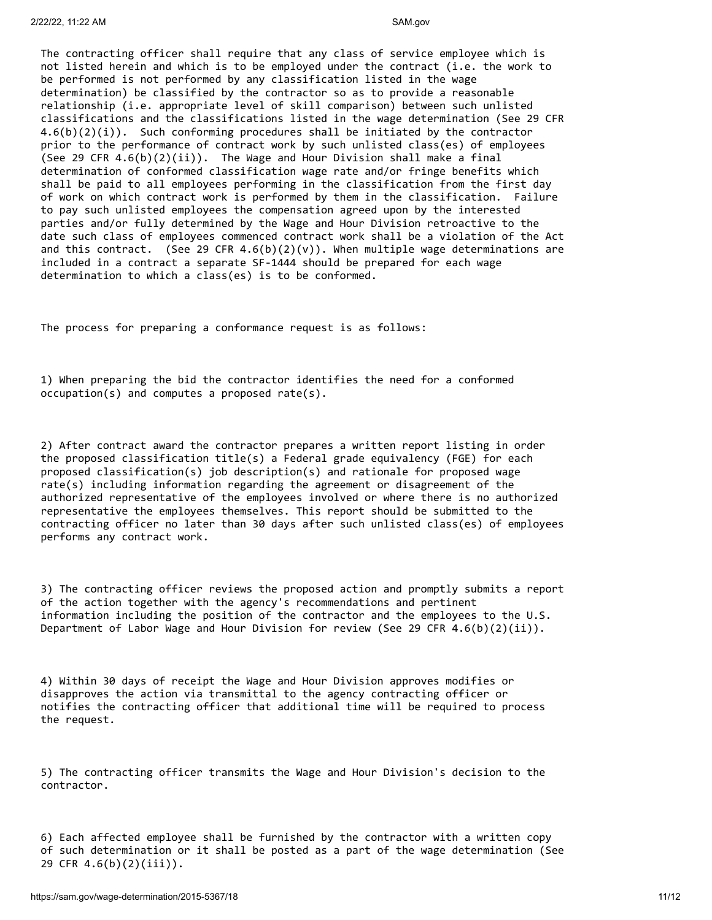The contracting officer shall require that any class of service employee which is not listed herein and which is to be employed under the contract (i.e. the work to be performed is not performed by any classification listed in the wage determination) be classified by the contractor so as to provide a reasonable relationship (i.e. appropriate level of skill comparison) between such unlisted classifications and the classifications listed in the wage determination (See 29 CFR  $4.6(b)(2)(i)$ . Such conforming procedures shall be initiated by the contractor prior to the performance of contract work by such unlisted class(es) of employees (See 29 CFR  $4.6(b)(2)(ii)$ ). The Wage and Hour Division shall make a final determination of conformed classification wage rate and/or fringe benefits which shall be paid to all employees performing in the classification from the first day of work on which contract work is performed by them in the classification. Failure to pay such unlisted employees the compensation agreed upon by the interested parties and/or fully determined by the Wage and Hour Division retroactive to the date such class of employees commenced contract work shall be a violation of the Act and this contract. (See 29 CFR  $4.6(b)(2)(v)$ ). When multiple wage determinations are included in a contract a separate SF-1444 should be prepared for each wage determination to which a class(es) is to be conformed.

The process for preparing a conformance request is as follows:

1) When preparing the bid the contractor identifies the need for a conformed occupation(s) and computes a proposed rate(s).

2) After contract award the contractor prepares a written report listing in order the proposed classification title(s) a Federal grade equivalency (FGE) for each proposed classification(s) job description(s) and rationale for proposed wage rate(s) including information regarding the agreement or disagreement of the authorized representative of the employees involved or where there is no authorized representative the employees themselves. This report should be submitted to the contracting officer no later than 30 days after such unlisted class(es) of employees performs any contract work.

3) The contracting officer reviews the proposed action and promptly submits a report of the action together with the agency's recommendations and pertinent information including the position of the contractor and the employees to the U.S. Department of Labor Wage and Hour Division for review (See 29 CFR  $4.6(b)(2)(ii)$ ).

4) Within 30 days of receipt the Wage and Hour Division approves modifies or disapproves the action via transmittal to the agency contracting officer or notifies the contracting officer that additional time will be required to process the request.

5) The contracting officer transmits the Wage and Hour Division's decision to the contractor.

6) Each affected employee shall be furnished by the contractor with a written copy of such determination or it shall be posted as a part of the wage determination (See 29 CFR 4.6(b)(2)(iii)).